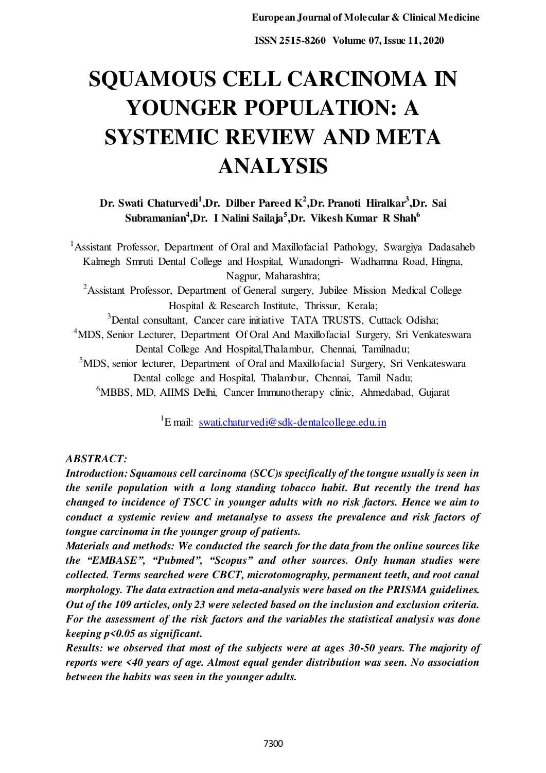# **SQUAMOUS CELL CARCINOMA IN YOUNGER POPULATION: A SYSTEMIC REVIEW AND META ANALYSIS**

**Dr. Swati Chaturvedi<sup>1</sup> ,Dr. Dilber Pareed K<sup>2</sup> ,Dr. Pranoti Hiralkar<sup>3</sup> ,Dr. Sai Subramanian<sup>4</sup> ,Dr. I Nalini Sailaja<sup>5</sup> ,Dr. Vikesh Kumar R Shah<sup>6</sup>**

<sup>1</sup> Assistant Professor, Department of Oral and Maxillofacial Pathology, Swargiya Dadasaheb Kalmegh Smruti Dental College and Hospital, Wanadongri- Wadhamna Road, Hingna, Nagpur, Maharashtra; <sup>2</sup>Assistant Professor, Department of General surgery, Jubilee Mission Medical College Hospital & Research Institute, Thrissur, Kerala; <sup>3</sup>Dental consultant, Cancer care initiative TATA TRUSTS, Cuttack Odisha; <sup>4</sup>MDS, Senior Lecturer, Department Of Oral And Maxillofacial Surgery, Sri Venkateswara Dental College And Hospital,Thalambur, Chennai, Tamilnadu; <sup>5</sup>MDS, senior lecturer, Department of Oral and Maxillofacial Surgery, Sri Venkateswara Dental college and Hospital, Thalambur, Chennai, Tamil Nadu; <sup>6</sup>MBBS, MD, AIIMS Delhi, Cancer Immunotherapy clinic, Ahmedabad, Gujarat

<sup>1</sup>E mail: [swati.chaturvedi@sdk-dentalcollege.edu.in](mailto:swati.chaturvedi@sdk-dentalcollege.edu.in)

## *ABSTRACT:*

*Introduction: Squamous cell carcinoma (SCC)s specifically of the tongue usually is seen in the senile population with a long standing tobacco habit. But recently the trend has changed to incidence of TSCC in younger adults with no risk factors. Hence we aim to conduct a systemic review and metanalyse to assess the prevalence and risk factors of tongue carcinoma in the younger group of patients.* 

*Materials and methods: We conducted the search for the data from the online sources like the "EMBASE", "Pubmed", "Scopus" and other sources. Only human studies were collected. Terms searched were CBCT, microtomography, permanent teeth, and root canal morphology. The data extraction and meta-analysis were based on the PRISMA guidelines. Out of the 109 articles, only 23 were selected based on the inclusion and exclusion criteria. For the assessment of the risk factors and the variables the statistical analysis was done keeping p<0.05 as significant.* 

*Results: we observed that most of the subjects were at ages 30-50 years. The majority of reports were <40 years of age. Almost equal gender distribution was seen. No association between the habits was seen in the younger adults.*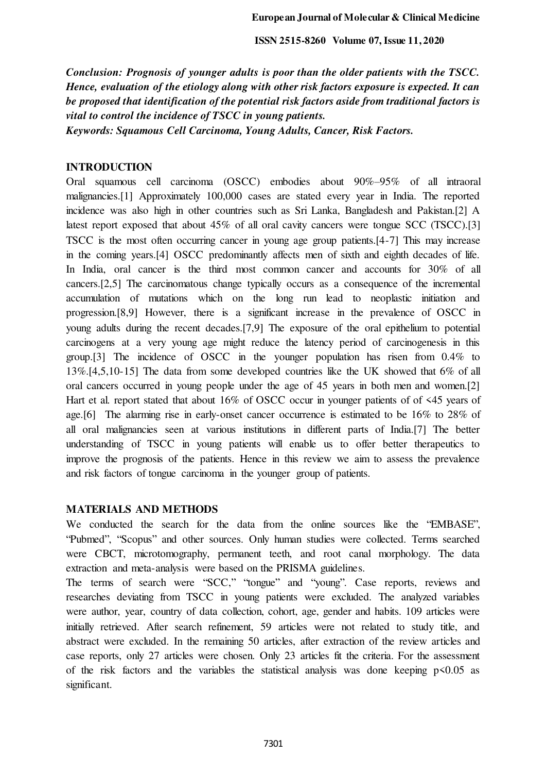*Conclusion: Prognosis of younger adults is poor than the older patients with the TSCC. Hence, evaluation of the etiology along with other risk factors exposure is expected. It can be proposed that identification of the potential risk factors aside from traditional factors is vital to control the incidence of TSCC in young patients.* 

*Keywords: Squamous Cell Carcinoma, Young Adults, Cancer, Risk Factors.* 

#### **INTRODUCTION**

Oral squamous cell carcinoma (OSCC) embodies about 90%–95% of all intraoral malignancies.[1] Approximately 100,000 cases are stated every year in India. The reported incidence was also high in other countries such as Sri Lanka, Bangladesh and Pakistan.[2] A latest report exposed that about 45% of all oral cavity cancers were tongue SCC (TSCC).[3] TSCC is the most often occurring cancer in young age group patients.[4-7] This may increase in the coming years.[4] OSCC predominantly affects men of sixth and eighth decades of life. In India, oral cancer is the third most common cancer and accounts for 30% of all cancers.[2,5] The carcinomatous change typically occurs as a consequence of the incremental accumulation of mutations which on the long run lead to neoplastic initiation and progression.[8,9] However, there is a significant increase in the prevalence of OSCC in young adults during the recent decades.[7,9] The exposure of the oral epithelium to potential carcinogens at a very young age might reduce the latency period of carcinogenesis in this group.[3] The incidence of OSCC in the younger population has risen from 0.4% to 13%.[4,5,10-15] The data from some developed countries like the UK showed that 6% of all oral cancers occurred in young people under the age of 45 years in both men and women.[2] Hart et al. report stated that about 16% of OSCC occur in younger patients of of <45 years of age.[6] The alarming rise in early-onset cancer occurrence is estimated to be 16% to 28% of all oral malignancies seen at various institutions in different parts of India.[7] The better understanding of TSCC in young patients will enable us to offer better therapeutics to improve the prognosis of the patients. Hence in this review we aim to assess the prevalence and risk factors of tongue carcinoma in the younger group of patients.

#### **MATERIALS AND METHODS**

We conducted the search for the data from the online sources like the "EMBASE", "Pubmed", "Scopus" and other sources. Only human studies were collected. Terms searched were CBCT, microtomography, permanent teeth, and root canal morphology. The data extraction and meta-analysis were based on the PRISMA guidelines.

The terms of search were "SCC," "tongue" and "young". Case reports, reviews and researches deviating from TSCC in young patients were excluded. The analyzed variables were author, year, country of data collection, cohort, age, gender and habits. 109 articles were initially retrieved. After search refinement, 59 articles were not related to study title, and abstract were excluded. In the remaining 50 articles, after extraction of the review articles and case reports, only 27 articles were chosen. Only 23 articles fit the criteria. For the assessment of the risk factors and the variables the statistical analysis was done keeping  $p \le 0.05$  as significant.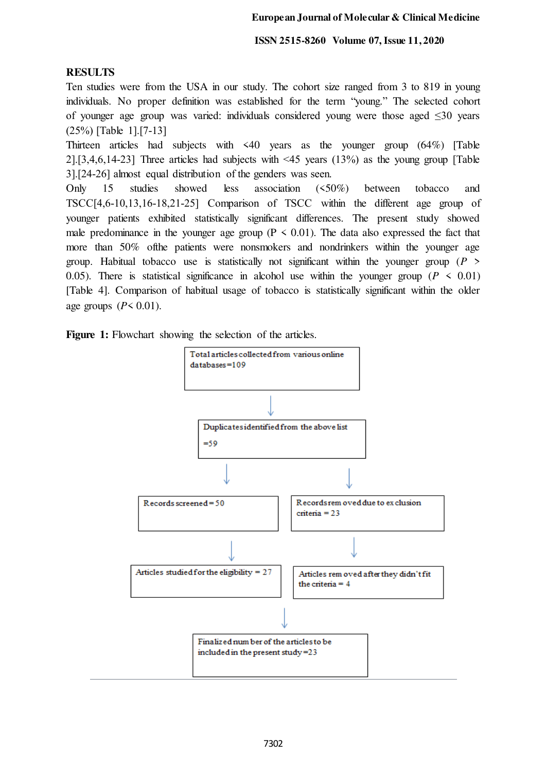## **RESULTS**

Ten studies were from the USA in our study. The cohort size ranged from 3 to 819 in young individuals. No proper definition was established for the term "young." The selected cohort of younger age group was varied: individuals considered young were those aged ≤30 years (25%) [Table 1].[7‑13]

Thirteen articles had subjects with <40 years as the younger group (64%) [Table 2].[3,4,6,14-23] Three articles had subjects with  $\leq 45$  years (13%) as the young group [Table 3].[24‑26] almost equal distribution of the genders was seen.

Only 15 studies showed less association (<50%) between tobacco and TSCC[4,6‑10,13,16‑18,21‑25] Comparison of TSCC within the different age group of younger patients exhibited statistically significant differences. The present study showed male predominance in the younger age group ( $P \le 0.01$ ). The data also expressed the fact that more than 50% ofthe patients were nonsmokers and nondrinkers within the younger age group. Habitual tobacco use is statistically not significant within the younger group (*P* > 0.05). There is statistical significance in alcohol use within the younger group ( $P \le 0.01$ ) [Table 4]. Comparison of habitual usage of tobacco is statistically significant within the older age groups  $(P < 0.01)$ .

Figure 1: Flowchart showing the selection of the articles.

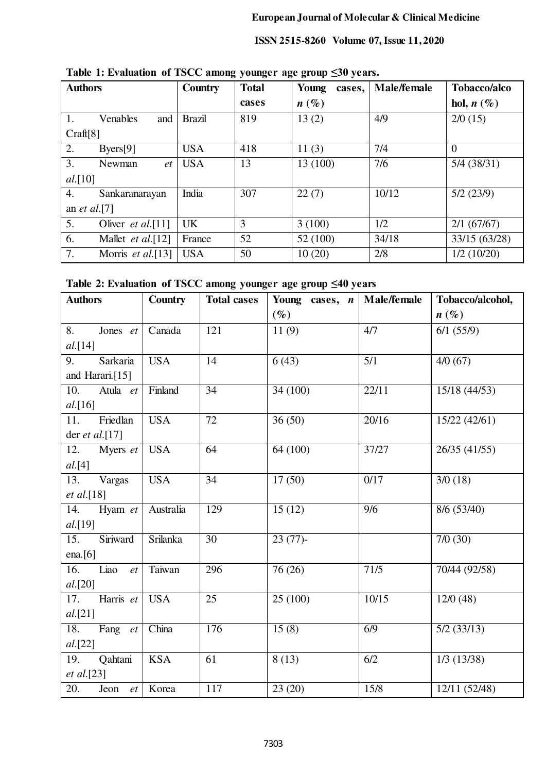| <b>Authors</b>       |                           | Country       | <b>Total</b> | Young<br>cases,    | Male/female | Tobacco/alco  |
|----------------------|---------------------------|---------------|--------------|--------------------|-------------|---------------|
|                      |                           |               | cases        | $n\left(\%\right)$ |             | hol, $n(\%)$  |
| 1.                   | Venables<br>and           | <b>Brazil</b> | 819          | 13(2)              | 4/9         | 2/0(15)       |
| Craff[8]             |                           |               |              |                    |             |               |
| 2.                   | $B \text{yers}[9]$        | <b>USA</b>    | 418          | 11(3)              | 7/4         | $\theta$      |
| 3.                   | Newman<br>et              | <b>USA</b>    | 13           | 13 (100)           | 7/6         | $5/4$ (38/31) |
| al.[10]              |                           |               |              |                    |             |               |
| 4.                   | Sankaranarayan            | India         | 307          | 22(7)              | 10/12       | 5/2(23/9)     |
| an <i>et al.</i> [7] |                           |               |              |                    |             |               |
| 5.                   | Oliver <i>et al.</i> [11] | <b>UK</b>     | 3            | 3(100)             | 1/2         | 2/1(67/67)    |
| 6.                   | Mallet <i>et al.</i> [12] | France        | 52           | 52 (100)           | 34/18       | 33/15 (63/28) |
| 7.                   | Morris <i>et al.</i> [13] | <b>USA</b>    | 50           | 10(20)             | 2/8         | 1/2(10/20)    |

**Table 1: Evaluation of TSCC among younger age group ≤30 years.**

| Table 2: Evaluation of TSCC among younger age group $\leq 40$ years |  |  |  |
|---------------------------------------------------------------------|--|--|--|
|---------------------------------------------------------------------|--|--|--|

| <b>Authors</b>     | Country    | <b>Total cases</b> | Young cases, $n$ | <b>Male/female</b> | Tobacco/alcohol,         |
|--------------------|------------|--------------------|------------------|--------------------|--------------------------|
|                    |            |                    | $(\%)$           |                    | $n(\%)$                  |
| 8.<br>Jones et     | Canada     | 121                | 11(9)            | 4/7                | 6/1(55/9)                |
| al.[14]            |            |                    |                  |                    |                          |
| Sarkaria<br>9.     | <b>USA</b> | 14                 | 6(43)            | 5/1                | 4/0(67)                  |
| and Harari.[15]    |            |                    |                  |                    |                          |
| 10.<br>Atula et    | Finland    | 34                 | 34 (100)         | 22/11              | 15/18 (44/53)            |
| al.[16]            |            |                    |                  |                    |                          |
| Friedlan<br>11.    | <b>USA</b> | 72                 | 36(50)           | 20/16              | 15/22 (42/61)            |
| der et al. $[17]$  |            |                    |                  |                    |                          |
| 12.<br>Myers et    | <b>USA</b> | 64                 | 64(100)          | 37/27              | 26/35(41/55)             |
| al. [4]            |            |                    |                  |                    |                          |
| 13.<br>Vargas      | <b>USA</b> | 34                 | 17(50)           | 0/17               | 3/0(18)                  |
| <i>et al.</i> [18] |            |                    |                  |                    |                          |
| 14.<br>Hyam et     | Australia  | 129                | 15(12)           | 9/6                | 8/6 (53/40)              |
| al.[19]            |            |                    |                  |                    |                          |
| Siriward<br>15.    | Srilanka   | $\overline{30}$    | $23(77)$ -       |                    | 7/0(30)                  |
| ena. $[6]$         |            |                    |                  |                    |                          |
| Liao<br>16.<br>et  | Taiwan     | 296                | 76 (26)          | 71/5               | 70/44 (92/58)            |
| al.[20]            |            |                    |                  |                    |                          |
| Harris et<br>17.   | <b>USA</b> | 25                 | 25(100)          | 10/15              | 12/0(48)                 |
| al.[21]            |            |                    |                  |                    |                          |
| 18.<br>Fang $et$   | China      | 176                | 15(8)            | 6/9                | $\overline{5/2}$ (33/13) |
| al.[22]            |            |                    |                  |                    |                          |
| Qahtani<br>19.     | <b>KSA</b> | 61                 | 8(13)            | 6/2                | $1/3$ (13/38)            |
| et al.[23]         |            |                    |                  |                    |                          |
| 20.<br>Jeon<br>et  | Korea      | 117                | 23(20)           | 15/8               | 12/11 (52/48)            |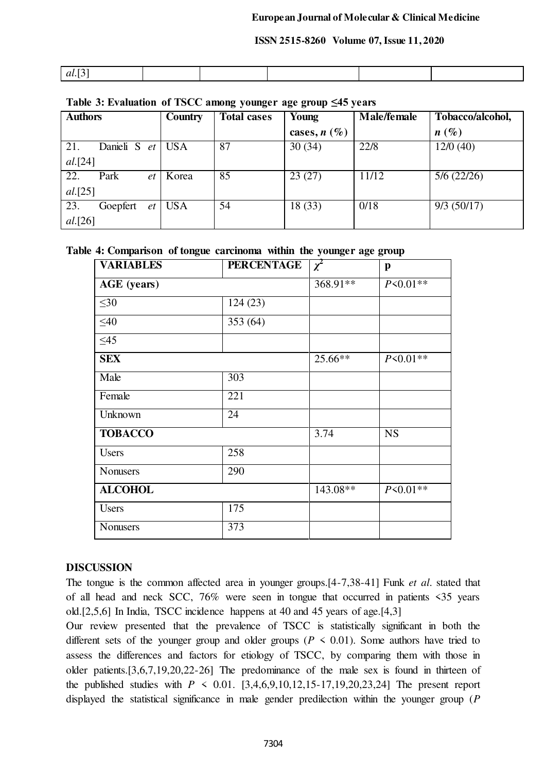| $ -$<br>al.<br>. .<br>- |  |  |  |
|-------------------------|--|--|--|

## **Table 3: Evaluation of TSCC among younger age group ≤45 years**

| <b>Authors</b>         | Country    | <b>Total cases</b> | Young          | Male/female | Tobacco/alcohol, |
|------------------------|------------|--------------------|----------------|-------------|------------------|
|                        |            |                    | cases, $n(\%)$ |             | $n(\%)$          |
| 21.<br>Danieli S<br>et | <b>USA</b> | 87                 | 30(34)         | 22/8        | 12/0(40)         |
| al.[24]                |            |                    |                |             |                  |
| 22.<br>Park<br>et      | Korea      | 85                 | 23(27)         | 11/12       | 5/6(22/26)       |
| al.[25]                |            |                    |                |             |                  |
| 23.<br>Goepfert<br>et  | <b>USA</b> | 54                 | 18(33)         | 0/18        | 9/3(50/17)       |
| <i>al.</i> [26]        |            |                    |                |             |                  |

## **Table 4: Comparison of tongue carcinoma within the younger age group**

| <b>VARIABLES</b> | <b>PERCENTAGE</b> | $\chi^2$ | $\mathbf{p}$ |
|------------------|-------------------|----------|--------------|
| AGE (years)      |                   | 368.91** | $P<0.01**$   |
| $\leq 30$        | 124(23)           |          |              |
| $\leq 40$        | 353(64)           |          |              |
| $\leq 45$        |                   |          |              |
| <b>SEX</b>       |                   | 25.66**  | $P<0.01**$   |
| Male             | 303               |          |              |
| Female           | 221               |          |              |
| Unknown          | 24                |          |              |
| <b>TOBACCO</b>   |                   | 3.74     | <b>NS</b>    |
| <b>Users</b>     | 258               |          |              |
| <b>Nonusers</b>  | 290               |          |              |
| <b>ALCOHOL</b>   |                   | 143.08** | $P<0.01**$   |
| <b>Users</b>     | 175               |          |              |
| <b>Nonusers</b>  | 373               |          |              |

## **DISCUSSION**

The tongue is the common affected area in younger groups.[4-7,38-41] Funk *et al*. stated that of all head and neck SCC, 76% were seen in tongue that occurred in patients <35 years old.[2,5,6] In India, TSCC incidence happens at 40 and 45 years of age.[4,3]

Our review presented that the prevalence of TSCC is statistically significant in both the different sets of the younger group and older groups ( $P \le 0.01$ ). Some authors have tried to assess the differences and factors for etiology of TSCC, by comparing them with those in older patients.[3,6,7,19,20,22-26] The predominance of the male sex is found in thirteen of the published studies with  $P \le 0.01$ . [3,4,6,9,10,12,15-17,19,20,23,24] The present report displayed the statistical significance in male gender predilection within the younger group (*P*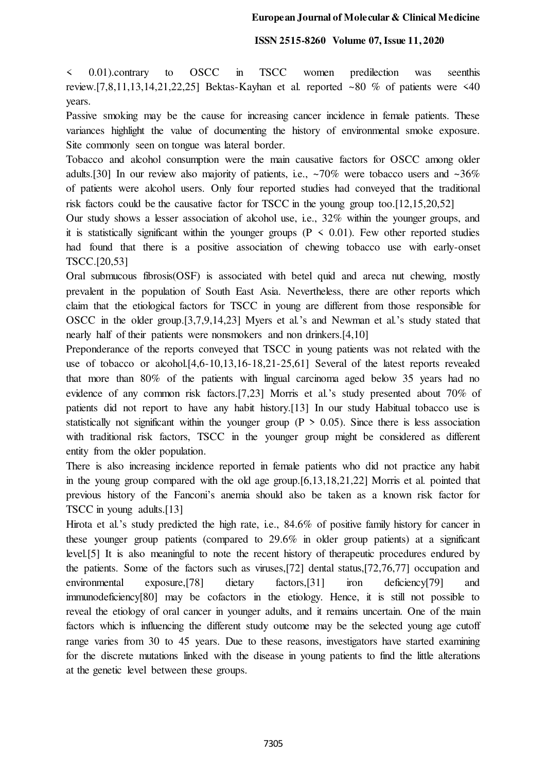< 0.01).contrary to OSCC in TSCC women predilection was seenthis review.[7,8,11,13,14,21,22,25] Bektas-Kayhan et al. reported ~80 % of patients were  $\leq 40$ years.

Passive smoking may be the cause for increasing cancer incidence in female patients. These variances highlight the value of documenting the history of environmental smoke exposure. Site commonly seen on tongue was lateral border.

Tobacco and alcohol consumption were the main causative factors for OSCC among older adults.[30] In our review also majority of patients, i.e.,  $\sim 70\%$  were tobacco users and  $\sim 36\%$ of patients were alcohol users. Only four reported studies had conveyed that the traditional risk factors could be the causative factor for TSCC in the young group too.[12,15,20,52]

Our study shows a lesser association of alcohol use, i.e., 32% within the younger groups, and it is statistically significant within the younger groups ( $P \le 0.01$ ). Few other reported studies had found that there is a positive association of chewing tobacco use with early-onset TSCC.[20,53]

Oral submucous fibrosis(OSF) is associated with betel quid and areca nut chewing, mostly prevalent in the population of South East Asia. Nevertheless, there are other reports which claim that the etiological factors for TSCC in young are different from those responsible for OSCC in the older group.[3,7,9,14,23] Myers et al.'s and Newman et al.'s study stated that nearly half of their patients were nonsmokers and non drinkers.[4,10]

Preponderance of the reports conveyed that TSCC in young patients was not related with the use of tobacco or alcohol.[4,6-10,13,16-18,21-25,61] Several of the latest reports revealed that more than 80% of the patients with lingual carcinoma aged below 35 years had no evidence of any common risk factors.[7,23] Morris et al.'s study presented about 70% of patients did not report to have any habit history.[13] In our study Habitual tobacco use is statistically not significant within the younger group ( $P > 0.05$ ). Since there is less association with traditional risk factors, TSCC in the younger group might be considered as different entity from the older population.

There is also increasing incidence reported in female patients who did not practice any habit in the young group compared with the old age group.[6,13,18,21,22] Morris et al. pointed that previous history of the Fanconi's anemia should also be taken as a known risk factor for TSCC in young adults.[13]

Hirota et al.'s study predicted the high rate, i.e., 84.6% of positive family history for cancer in these younger group patients (compared to 29.6% in older group patients) at a significant level.[5] It is also meaningful to note the recent history of therapeutic procedures endured by the patients. Some of the factors such as viruses,[72] dental status,[72,76,77] occupation and environmental exposure,<sup>[78]</sup> dietary factors,<sup>[31]</sup> iron deficiency<sup>[79]</sup> and immunodeficiency[80] may be cofactors in the etiology. Hence, it is still not possible to reveal the etiology of oral cancer in younger adults, and it remains uncertain. One of the main factors which is influencing the different study outcome may be the selected young age cutoff range varies from 30 to 45 years. Due to these reasons, investigators have started examining for the discrete mutations linked with the disease in young patients to find the little alterations at the genetic level between these groups.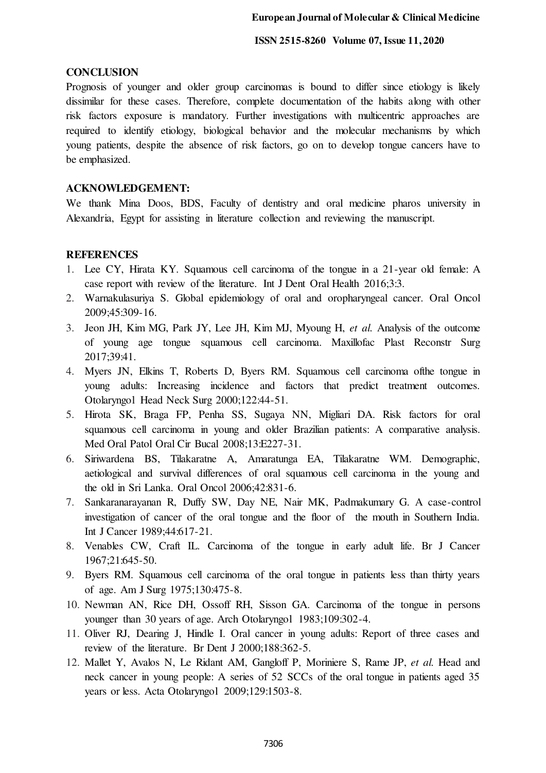#### **CONCLUSION**

Prognosis of younger and older group carcinomas is bound to differ since etiology is likely dissimilar for these cases. Therefore, complete documentation of the habits along with other risk factors exposure is mandatory. Further investigations with multicentric approaches are required to identify etiology, biological behavior and the molecular mechanisms by which young patients, despite the absence of risk factors, go on to develop tongue cancers have to be emphasized.

#### **ACKNOWLEDGEMENT:**

We thank Mina Doos, BDS, Faculty of dentistry and oral medicine pharos university in Alexandria, Egypt for assisting in literature collection and reviewing the manuscript.

#### **REFERENCES**

- 1. Lee CY, Hirata KY. Squamous cell carcinoma of the tongue in a 21-year old female: A case report with review of the literature. Int J Dent Oral Health 2016;3:3.
- 2. Warnakulasuriya S. Global epidemiology of oral and oropharyngeal cancer. Oral Oncol 2009;45:309-16.
- 3. Jeon JH, Kim MG, Park JY, Lee JH, Kim MJ, Myoung H, *et al.* Analysis of the outcome of young age tongue squamous cell carcinoma. Maxillofac Plast Reconstr Surg 2017;39:41.
- 4. Myers JN, Elkins T, Roberts D, Byers RM. Squamous cell carcinoma ofthe tongue in young adults: Increasing incidence and factors that predict treatment outcomes. Otolaryngol Head Neck Surg 2000;122:44-51.
- 5. Hirota SK, Braga FP, Penha SS, Sugaya NN, Migliari DA. Risk factors for oral squamous cell carcinoma in young and older Brazilian patients: A comparative analysis. Med Oral Patol Oral Cir Bucal 2008;13:E227-31.
- 6. Siriwardena BS, Tilakaratne A, Amaratunga EA, Tilakaratne WM. Demographic, aetiological and survival differences of oral squamous cell carcinoma in the young and the old in Sri Lanka. Oral Oncol 2006;42:831-6.
- 7. Sankaranarayanan R, Duffy SW, Day NE, Nair MK, Padmakumary G. A case-control investigation of cancer of the oral tongue and the floor of the mouth in Southern India. Int J Cancer 1989;44:617-21.
- 8. Venables CW, Craft IL. Carcinoma of the tongue in early adult life. Br J Cancer 1967;21:645-50.
- 9. Byers RM. Squamous cell carcinoma of the oral tongue in patients less than thirty years of age. Am J Surg 1975;130:475-8.
- 10. Newman AN, Rice DH, Ossoff RH, Sisson GA. Carcinoma of the tongue in persons younger than 30 years of age. Arch Otolaryngol 1983;109:302-4.
- 11. Oliver RJ, Dearing J, Hindle I. Oral cancer in young adults: Report of three cases and review of the literature. Br Dent J 2000;188:362-5.
- 12. Mallet Y, Avalos N, Le Ridant AM, Gangloff P, Moriniere S, Rame JP, *et al.* Head and neck cancer in young people: A series of 52 SCCs of the oral tongue in patients aged 35 years or less. Acta Otolaryngol 2009;129:1503-8.